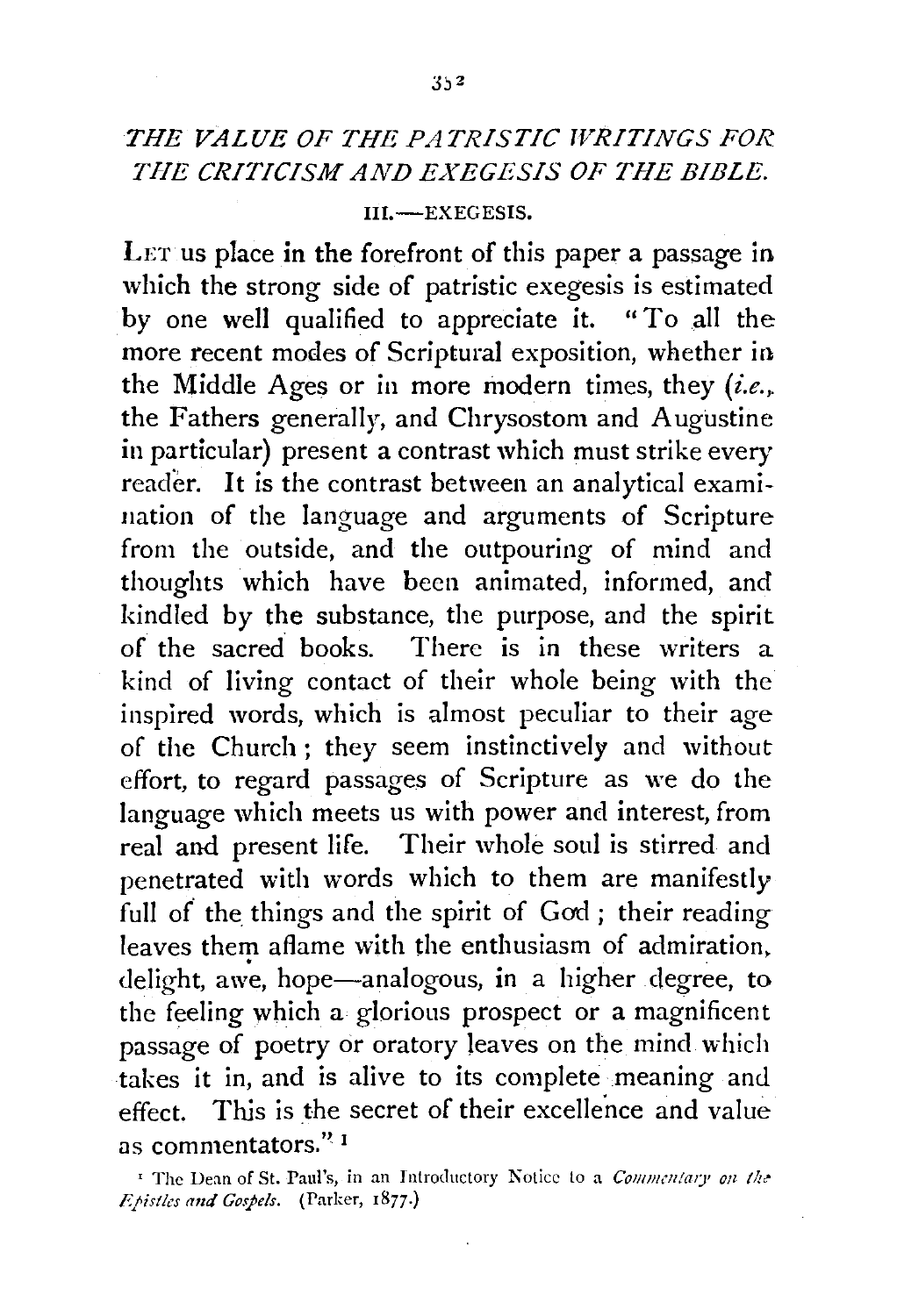## *THE VALUE OF THE PATRISTIC WRITINGS FOR THE CRITICISM AND EXEGESIS OF THE BIBLE.*

## III.-EXEGESIS.

LET us place in the forefront of this paper a passage in which the strong side of patristic exegesis is estimated by one well qualified to appreciate it. "To all the more recent modes of Scriptural exposition, whether in the Middle Ages or in more modern times, they *(i.e .•*  the Fathers generally, and Chrysostom and Augustine in particular) present a contrast which must strike every reader. It is the contrast between an analytical examination of the language and arguments of Scripture from the outside, and the outpouring of mind and thoughts which have been animated, informed, and kindled by the substance, the purpose, and the spirit of the sacred books. There is in these writers a kind of living contact of their whole being with the inspired words, which is almost peculiar to their age of the Church; they seem instinctively and without effort, to regard passages of Scripture as we do the language which meets us with power and interest, from real and present life. Their whole soul is stirred and penetrated with words which to them are manifestly full of the things and the spirit of God; their reading leaves them aflame with the enthusiasm of admiration, delight, awe, hope—analogous, in a higher degree, to the feeling which a glorious prospect or a magnificent passage of poetry or oratory leaves on the mind which takes it in, and is alive to its complete meaning and effect. This is the secret of their excellence and value as commentators." 1

<sup>&</sup>lt;sup>1</sup> The Dean of St. Paul's, in an Introductory Notice to a *Commentary on the F.pistles and Gospels.* (Parker, 1877.)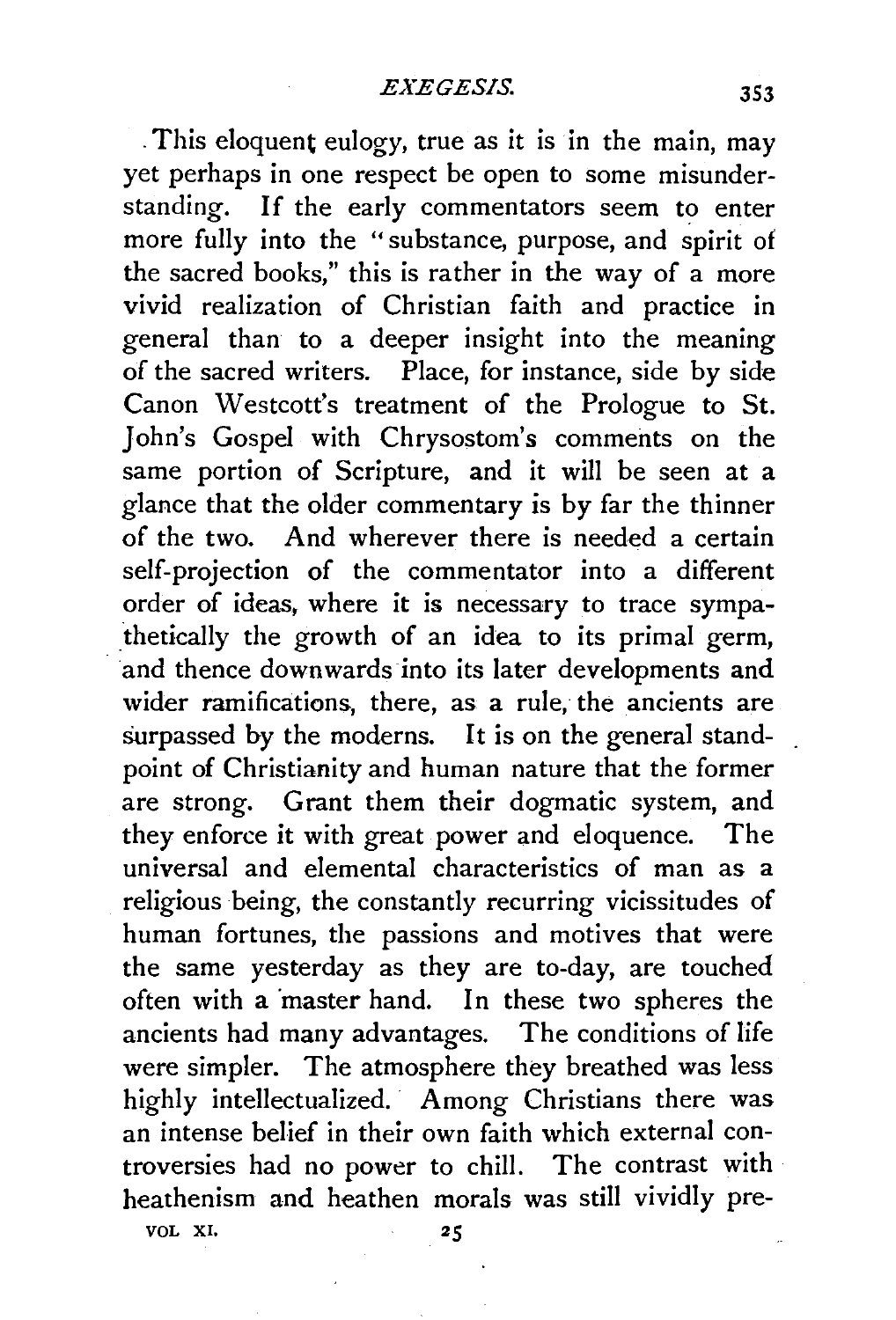. This eloquent eulogy, true as it is in the main, may yet perhaps in one respect be open to some misunderstanding. If the early commentators seem to enter more fully into the "substance, purpose, and spirit of the sacred books," this is rather in the way of a more vivid realization of Christian faith and practice in general than to a deeper insight into the meaning of the sacred writers. Place, for instance, side by side Canon Westcott's treatment of the Prologue to St. John's Gospel with Chrysostom's comments on the same portion of Scripture, and it will be seen at a glance that the older commentary is by far the thinner of the two. And wherever there is needed a certain self-projection of the commentator into a different order of ideas, where it is necessary to trace sympathetically the growth of an idea to its primal germ, and thence downwards into its later developments and wider ramifications, there, as a rule, the ancients are surpassed by the moderns. It is on the general standpoint of Christianity and human nature that the former are strong. Grant them their dogmatic system, and they enforce it with great power and eloquence. The universal and elemental characteristics of man as a religious being, the constantly recurring vicissitudes of human fortunes, the passions and motives that were the same yesterday as they are to-day, are touched often with a master hand. In these two spheres the ancients had many advantages. The conditions of life were simpler. The atmosphere they breathed was less highly intellectualized. Among Christians there was an intense belief in their own faith which external controversies had no power to chill. The contrast with heathenism and heathen morals was still vividly pre-

VOL XI.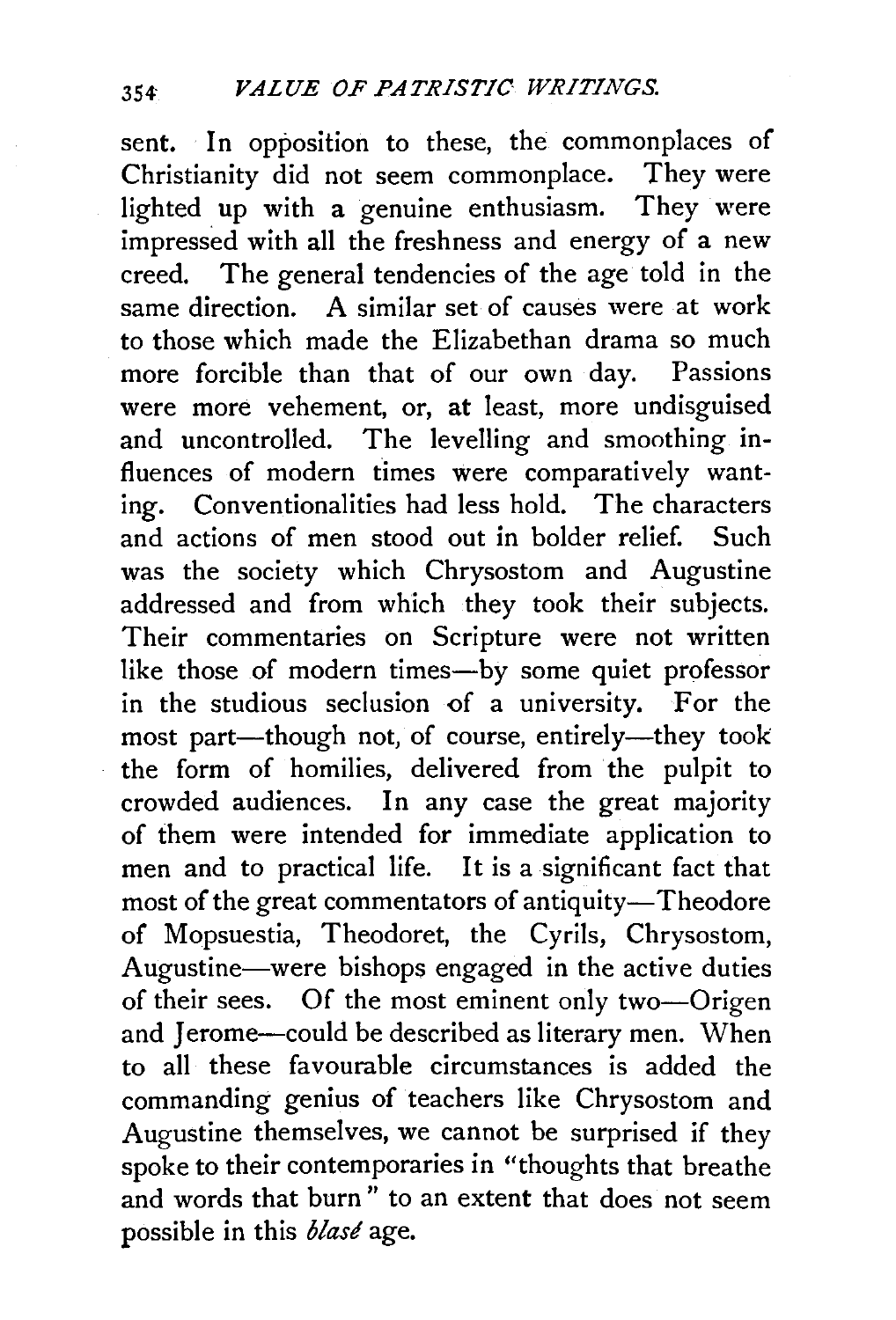sent. In opposition to these, the commonplaces of Christianity did not seem commonplace. They were lighted up with a genuine enthusiasm. They were impressed with all the freshness and energy of a new creed. The general tendencies of the age told in the same direction. A similar set of causes were at work to those which made the Elizabethan drama so much more forcible than that of our own day. Passions were more vehement, or, at least, more undisguised and uncontrolled. The levelling and smoothing influences of modern times were comparatively wanting. Conventionalities had less hold. The characters and actions of men stood out in bolder relief. Such was the society which Chrysostom and Augustine addressed and from which they took their subjects. Their commentaries on Scripture were not written like those of modern times-by some quiet professor in the studious seclusion of a university. For the most part-though not, of course, entirely-they took the form of homilies, delivered from the pulpit to crowded audiences. In any case the great majority of them were intended for immediate application to men and to practical life. It is a significant fact that most of the great commentators of antiquity-Theodore of Mopsuestia, Theodoret, the Cyrils, Chrysostom, Augustine-were bishops engaged in the active duties of their sees. Of the most eminent only two-Origen and Jerome-could be described as literary men. When to all these favourable circumstances is added the commanding genius of teachers like Chrysostom and Augustine themselves, we cannot be surprised if they spoke to their contemporaries in "thoughts that breathe and words that burn " to an extent that does not seem possible in this *blase* age.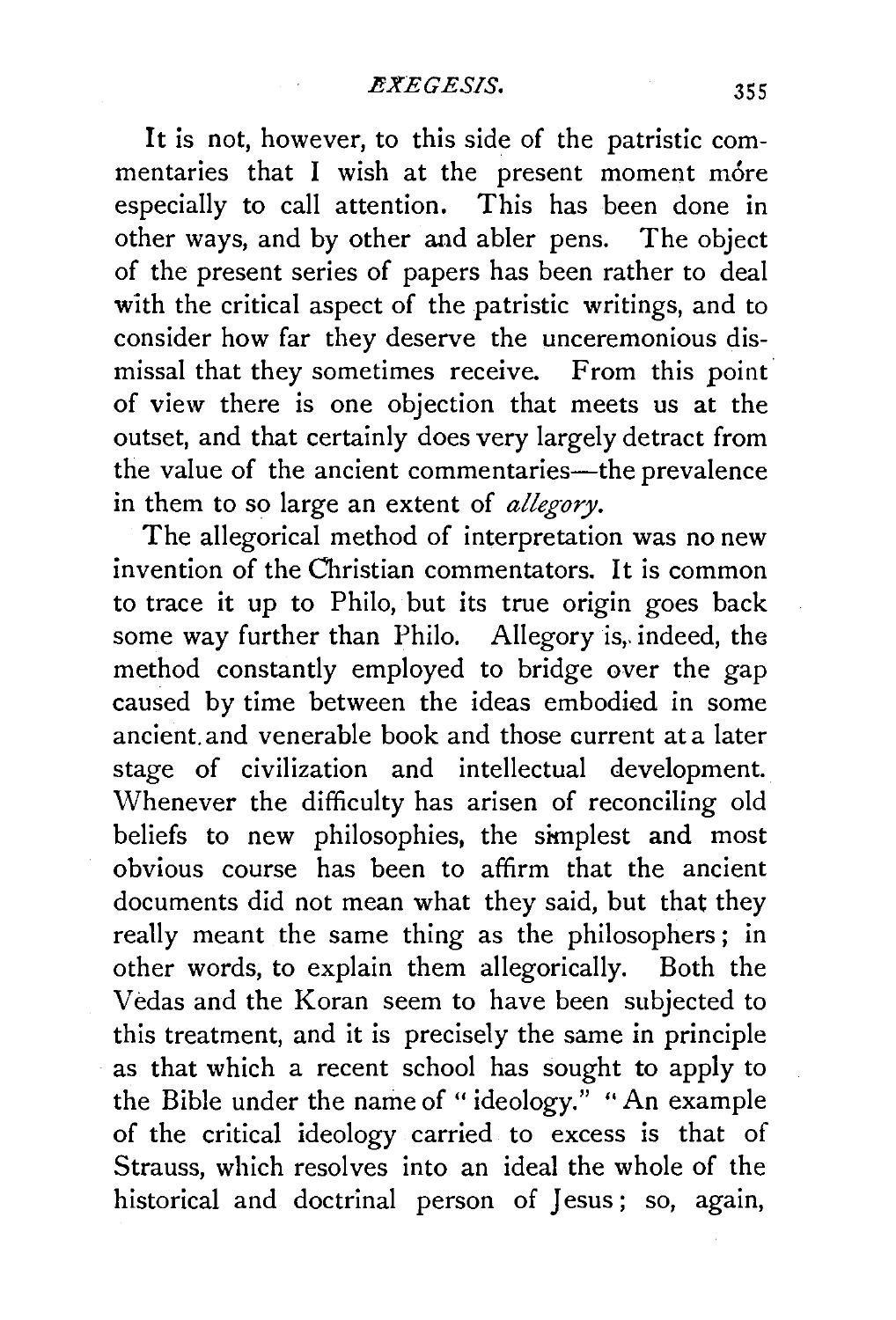It is not, however, to this side of the patristic commentaries that I wish at the present moment more especially to call attention. This has been done in other ways, and by other and abler pens. The object of the present series of papers has been rather to deal with the critical aspect of the patristic writings, and to consider how far they deserve the unceremonious dismissal that they sometimes receive. From this point of view there is one objection that meets us at the outset, and that certainly does very largely detract from the value of the ancient commentaries-the prevalence in them to so large an extent of *allegory.* 

The allegorical method of interpretation was no new invention of the Christian commentators. It is common to trace it up to Philo, but its true origin goes back some way further than Philo. Allegory is, indeed, the method constantly employed to bridge over the gap caused by time between the ideas embodied in some ancient and venerable book and those current at a later stage of civilization and intellectual development. Whenever the difficulty has arisen of reconciling old beliefs to new philosophies, the simplest and most obvious course has been to affirm that the ancient documents did not mean what they said, but that they really meant the same thing as the philosophers ; in other words, to explain them allegorically. Both the Vedas and the Koran seem to have been subjected to this treatment, and it is precisely the same in principle as that which a recent school has sought to apply to the Bible under the name of "ideology." "An example of the critical ideology carried to excess is that of Strauss, which resolves into an ideal the whole of the historical and doctrinal person of Jesus; so, again,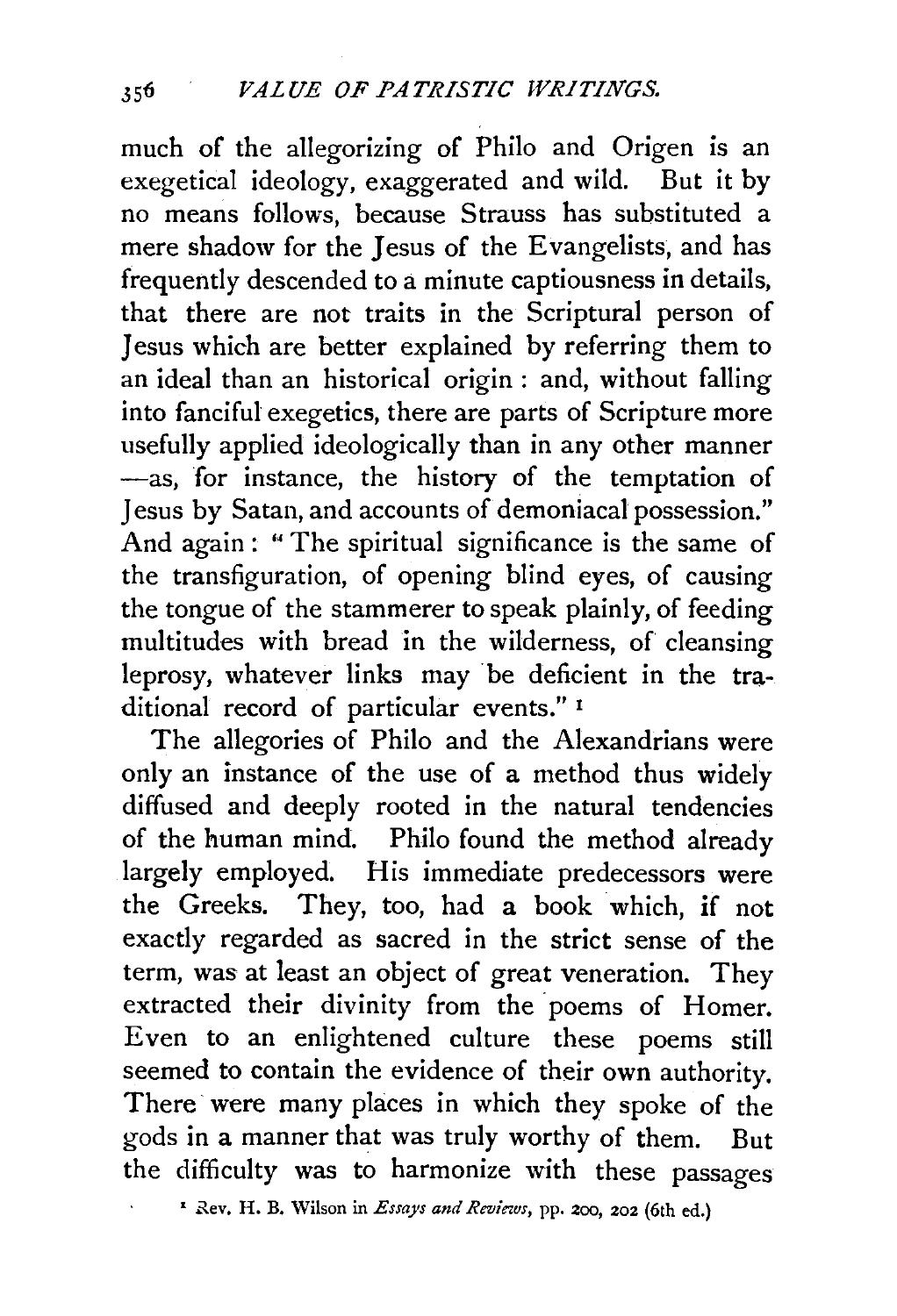much of the allegorizing of Philo and Origen is an exegetical ideology, exaggerated and wild. But it by no means follows, because Strauss has substituted a mere shadow for the Jesus of the Evangelists, and has frequently descended to a minute captiousness in details, that there are not traits in the Scriptural person of Jesus which are better explained by referring them to an ideal than an historical origin : and, without falling into fanciful exegetics, there are parts of Scripture more usefully applied ideologically than in any other manner -as, for instance, the history of the temptation of Jesus by Satan, and accounts of demoniacal possession." And again : " The spiritual significance is the same of the transfiguration, of opening blind eyes, of causing the tongue of the stammerer to speak plainly, of feeding multitudes with bread in the wilderness, of cleansing leprosy, whatever links may be deficient in the traditional record of particular events." <sup>1</sup>

The allegories of Philo and the Alexandrians were only an instance of the use of a method thus widely diffused and deeply rooted in the natural tendencies of the human mind. Philo found the method already largely employed. His immediate predecessors were the Greeks. They, too, had a book which, if not exactly regarded as sacred in the strict sense of the term, was at least an object of great veneration. They extracted their divinity from the poems of Homer. Even to an enlightened culture these poems still seemed to contain the evidence of their own authority. There were many places in which they spoke of the gods in a manner that was truly worthy of them. But the difficulty was to harmonize with these passages

<sup>&</sup>lt;sup>1</sup> Rev. H. B. Wilson in *Essays and Reviews*, pp. 200, 202 (6th ed.)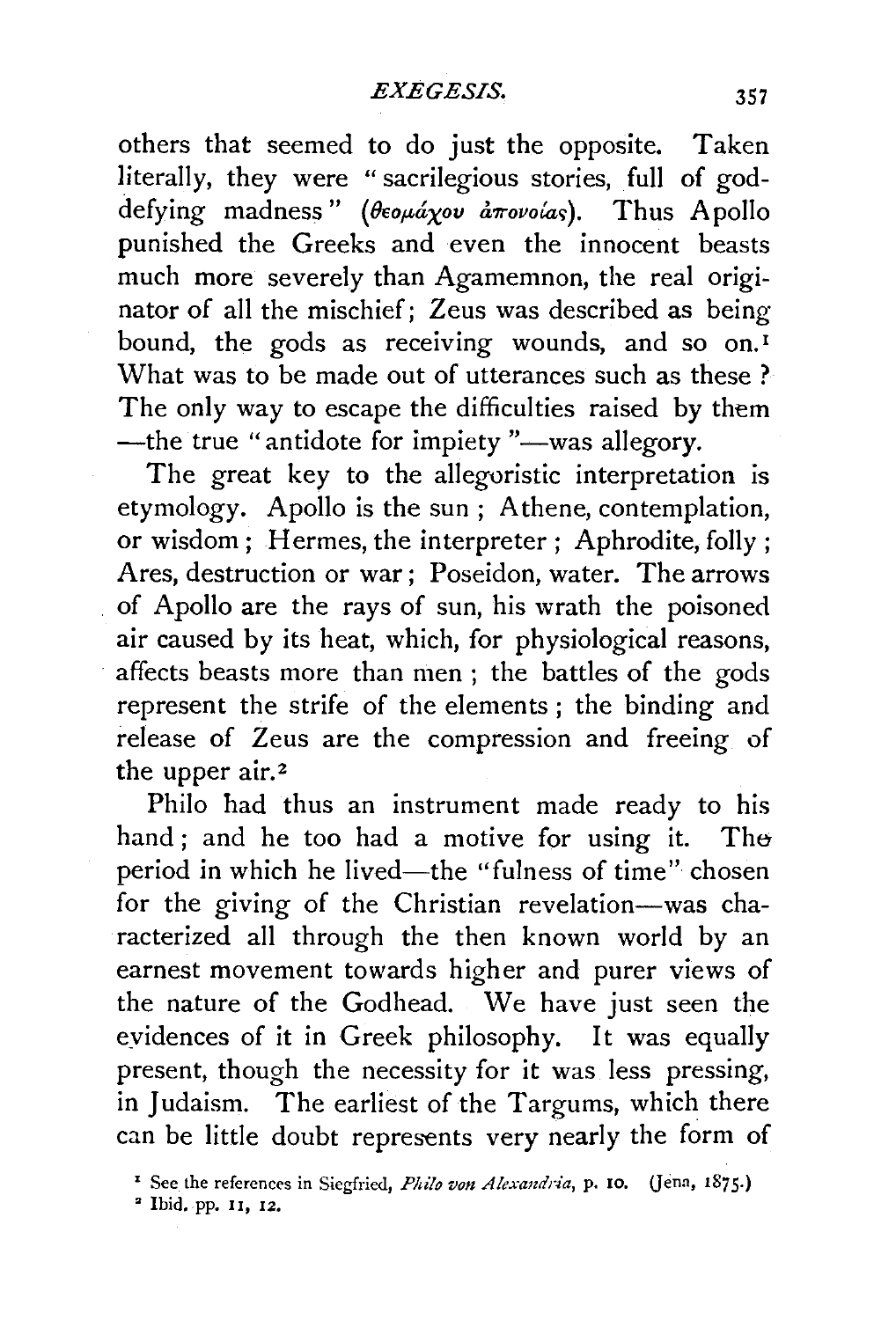others that seemed to do just the opposite. Taken literally, they were "sacrilegious stories, full of goddefying madness" (θεομάχου άπονοίας). Thus Apollo punished the Greeks and even the innocent beasts much more severely than Agamemnon, the real originator of all the mischief; Zeus was described as being bound, the gods as receiving wounds, and so on.<sup>1</sup> What was to be made out of utterances such as these ? The only way to escape the difficulties raised by them -the true "antidote for impiety "-was allegory.

The great key to the allegoristic interpretation is etymology. Apollo is the sun; Athene, contemplation, or wisdom; Hermes, the interpreter; Aphrodite, folly; Ares, destruction or war ; Poseidon, water. The arrows of Apollo are the rays of sun, his wrath the poisoned air caused by its heat, which, for physiological reasons, affects beasts more than men ; the battles of the gods represent the strife of the elements ; the binding and release of Zeus are the compression and freeing of the upper air.<sup>2</sup>

Philo had thus an instrument made ready to his hand; and he too had a motive for using it. The period in which he lived-the "fulness of time" chosen for the giving of the Christian revelation-was characterized all through the then known world by an earnest movement towards higher and purer views of the nature of the Godhead. We have just seen the eyidences of it in Greek philosophy. It was equally present, though the necessity for it was less pressing, in Judaism. The earliest of the Targums, which there can be little doubt represents very nearly the form of

<sup>&</sup>lt;sup>1</sup> See the references in Siegfried, *Philo von Alexandria*, p. 10. (Jena, 1875.)

<sup>•</sup> Ibid. pp. 11, 12.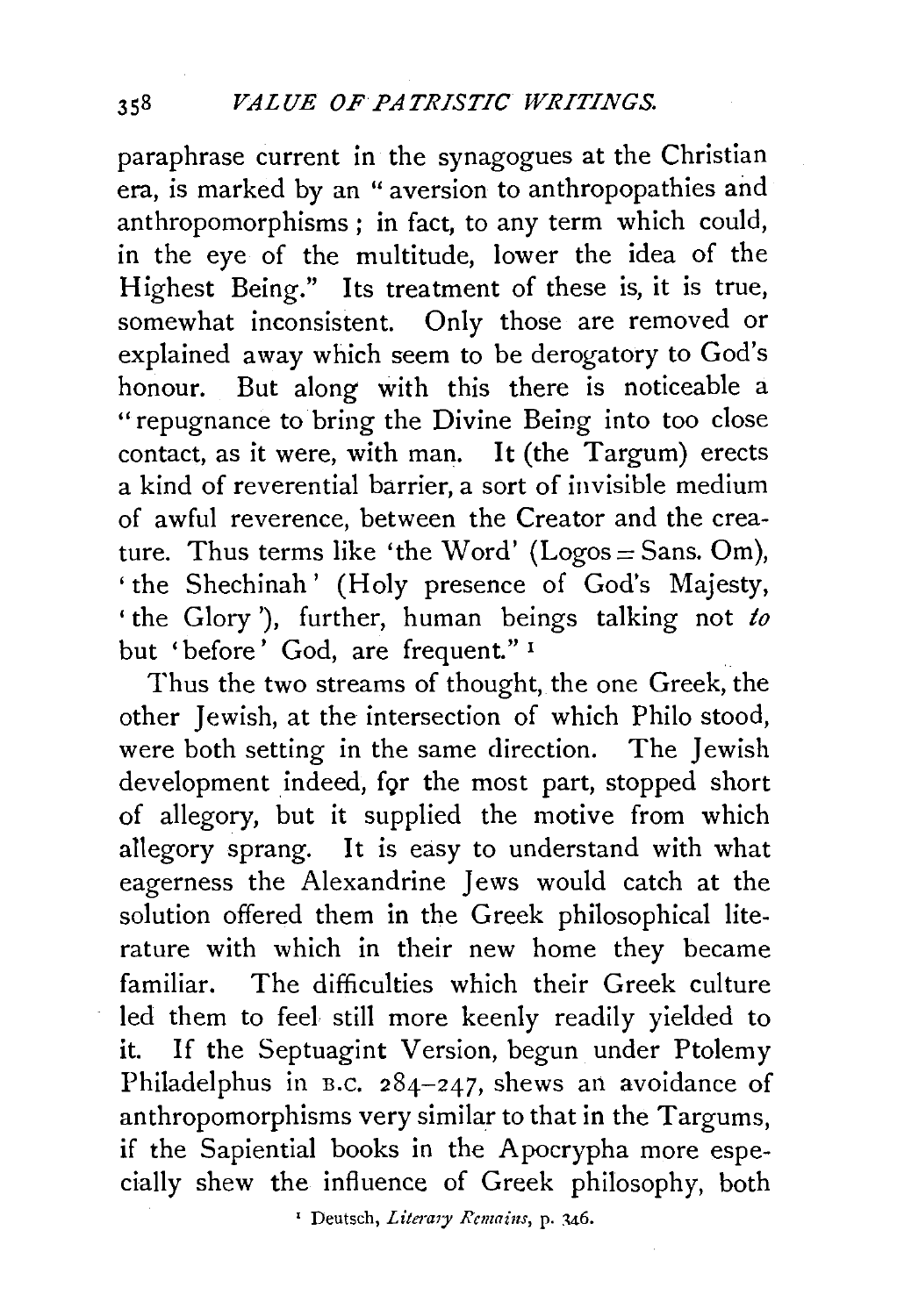paraphrase current in the synagogues at the Christian era, is marked by an " aversion to anthropopathies and anthropomorphisms ; in fact, to any term which could, in the eye of the multitude, lower the idea of the Highest Being." Its treatment of these is, it is true, somewhat inconsistent. Only those are removed or explained away which seem to be derogatory to God's honour. But along with this there is noticeable a "repugnance to bring the Divine Being into too close contact, as it were, with man. It (the Targum) erects a kind of reverential barrier, a sort of invisible medium of awful reverence, between the Creator and the creature. Thus terms like 'the Word' (Logos = Sans. Om), 'the Shechinah' (Holy presence of God's Majesty, ' the Glory '), further, human beings talking not *to*  but 'before' God, are frequent." <sup>1</sup>

Thus the two streams of thought, the one Greek, the other Jewish, at the intersection of which Philo stood, were both setting in the same direction. The Jewish development indeed, for the most part, stopped short of allegory, but it supplied the motive from which allegory sprang. It is easy to understand with what eagerness the Alexandrine Jews would catch at the solution offered them in the Greek philosophical literature with which in their new home they became familiar. The difficulties which their Greek culture led them to feel still more keenly readily yielded to it. If the Septuagint Version, begun under Ptolemy Philadelphus in B.c. 284-247, shews an avoidance of anthropomorphisms very similar to that in the Targums, if the Sapiential books in the Apocrypha more especially shew the influence of Greek philosophy, both

<sup>1</sup> Deutsch, *Litemry Remains,* p. 146.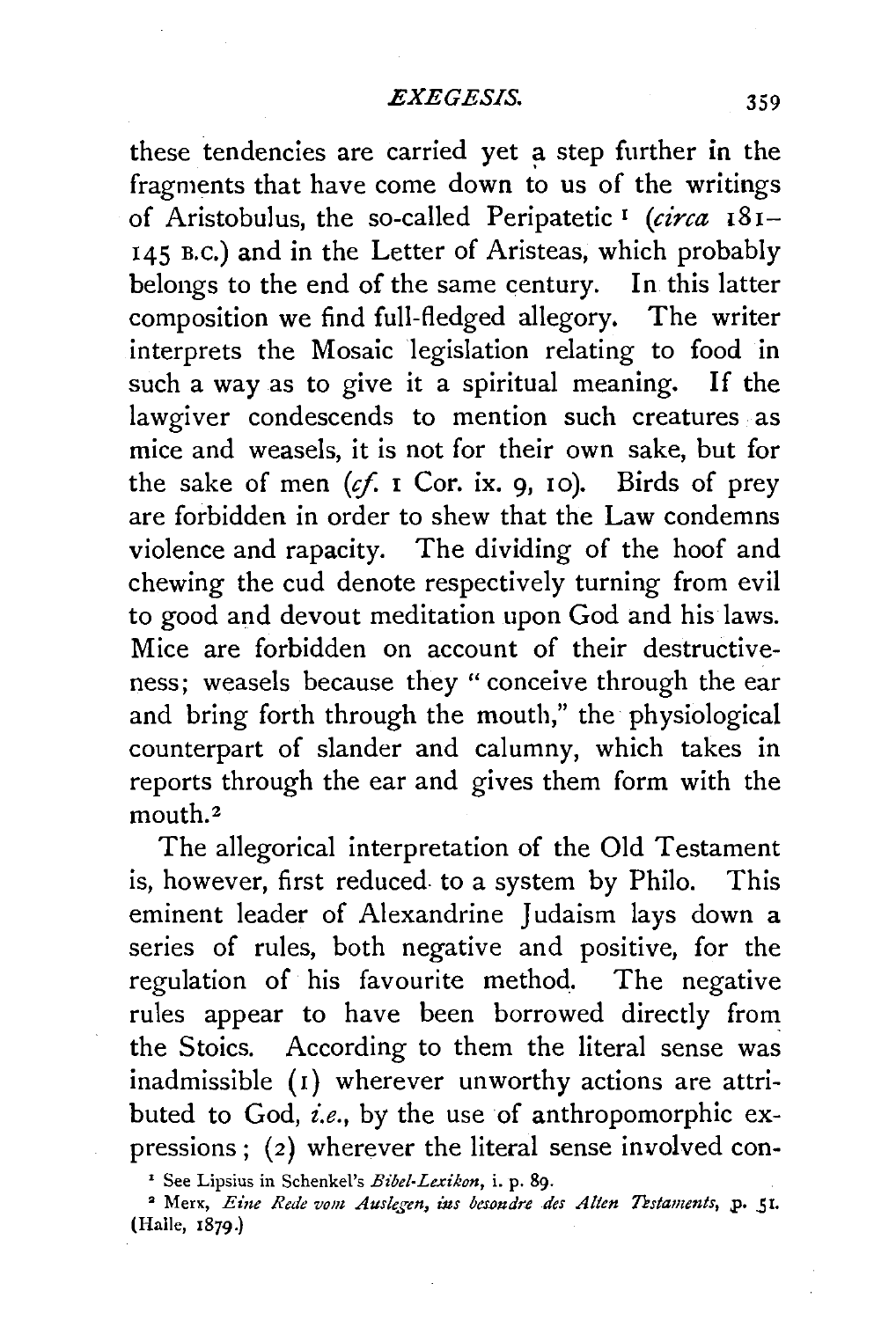these tendencies are carried yet a step further in the fragments that have come down to us of the writings of Aristobulus, the so-called Peripatetic 1 *(circa* 181- 145 B.c.) and in the Letter of Aristeas, which probably belongs to the end of the same century. In this latter composition we find full-fledged allegory. The writer interprets the Mosaic legislation relating to food in such a way as to give it a spiritual meaning. If the lawgiver condescends to mention such creatures as mice and weasels, it is not for their own sake, but for the sake of men  $(cf. 1$  Cor. ix. 9, 10). Birds of prey are forbidden in order to shew that the Law condemns violence and rapacity. The dividing of the hoof and chewing the cud denote respectively turning from evil to good and devout meditation upon God and his laws. Mice are forbidden on account of their destructiveness; weasels because they "conceive through the ear and bring forth through the mouth," the physiological counterpart of slander and calumny, which takes in reports through the ear and gives them form with the mouth.<sup>2</sup>

The allegorical interpretation of the Old Testament is, however, first reduced. to a system by Philo. This eminent leader of Alexandrine Judaism lays down a series of rules, both negative and positive, for the regulation of his favourite method. The negative rules appear to have been borrowed directly from the Stoics. According to them the literal sense was inadmissible (1) wherever unworthy actions are attributed to God, *i.e.,* by the use of anthropomorphic expressions; (2) wherever the literal sense involved con-

<sup>&#</sup>x27; See Lipsius in Schenkel's *Bibel-Lexikon,* i. p. 89 .

<sup>&</sup>lt;sup>2</sup> Merx, *Eine Rede vom Auslegen, ins besondre des Alten Testaments*, p. 51. (Halle, 1879·)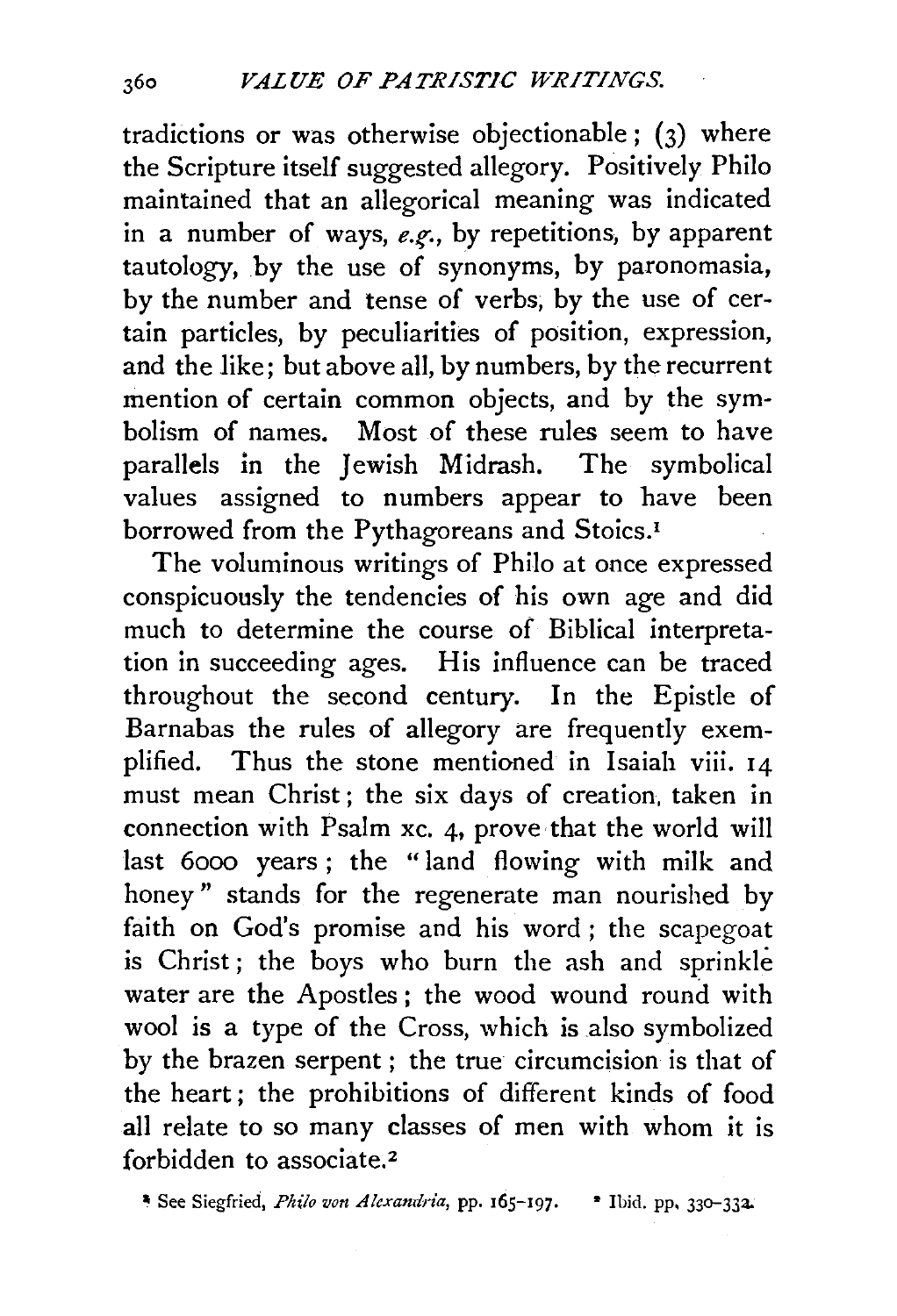tradictions or was otherwise objectionable ; (3) where the Scripture itself suggested allegory. Positively Philo maintained that an allegorical meaning was indicated in a number of ways, *e.g.*, by repetitions, by apparent tautology, by the use of synonyms, by paronomasia, by the number and tense of verbs, by the use of certain particles, by peculiarities of position, expression, and the like; but above all, by numbers, by the recurrent mention of certain common objects, and by the symbolism of names. Most of these rules seem to have parallels in the Jewish Midrash. The symbolical values assigned to numbers appear to have been borrowed from the Pythagoreans and Stoics.<sup>1</sup>

The voluminous writings of Philo at once expressed conspicuously the tendencies of his own age and did much to determine the course of Biblical interpretation in succeeding ages. His influence can be traced throughout the second century. In the Epistle of Barnabas the rules of allegory are frequently exemplified. Thus the stone mentioned in Isaiah viii. 14 must mean Christ; the six days of creation, taken in connection with Psalm xc. 4, prove that the world will last 6ooo years ; the "land flowing with milk and honey " stands for the regenerate man nourished by faith on God's promise and his word ; the scapegoat is Christ; the boys who burn the ash and sprinkle water are the Apostles ; the wood wound round with wool is a type of the Cross, which is also symbolized by the brazen serpent ; the true circumcision is that of the heart; the prohibitions of different kinds of food all relate to so many classes of men with whom it is forbidden to associate.<sup>2</sup>

• See Siegfried, *Philo von Alexandria,* pp. 165-197· • Ibid. pp, 33o-33a.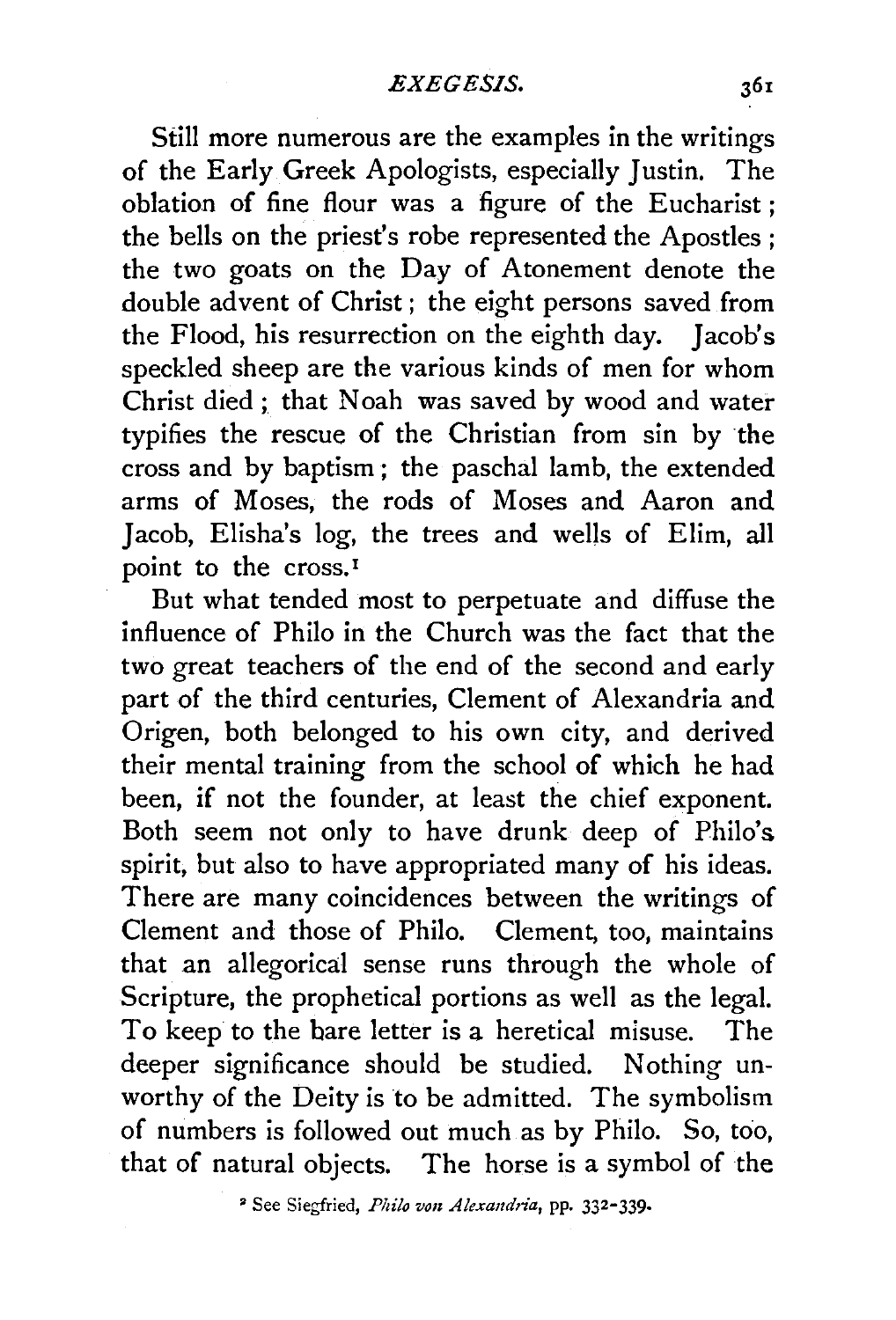Still more numerous are the examples in the writings of the Early Greek Apologists, especially Justin. The oblation of fine flour was a figure of the Eucharist; the bells on the priest's robe represented the Apostles; the two goats on the Day of Atonement denote the double advent of Christ ; the eight persons saved from the Flood, his resurrection on the eighth day. Jacob's speckled sheep are the various kinds of men for whom Christ died; that Noah was saved by wood and water typifies the rescue of the Christian from sin by the cross and by baptism ; the paschal lamb, the extended arms of Moses, the rods of Moses and Aaron and Jacob, Elisha's log, the trees and wells of Elim, all point to the cross.<sup>1</sup>

But what tended most to perpetuate and diffuse the influence of Philo in the Church was the fact that the two great teachers of the end of the second and early part of the third centuries, Clement of Alexandria and Origen, both belonged to his own city, and derived their mental training from the school of which he had been, if not the founder, at least the chief exponent. Both seem not only to have drunk deep of Philo's spirit, but also to have appropriated many of his ideas. There are many coincidences between the writings of Clement and those of Philo. Clement, too, maintains that an allegorical sense runs through the whole of Scripture, the prophetical portions as well as the legal. To keep to the bare letter is a heretical misuse. The deeper significance should be studied. Nothing unworthy of the Deity is to be admitted. The symbolism of numbers is followed out much as by Philo. So, too, that of natural objects. The horse is a symbol of the

<sup>2</sup> See Siegfried, *Philo von Alexandria*, pp. 332-339.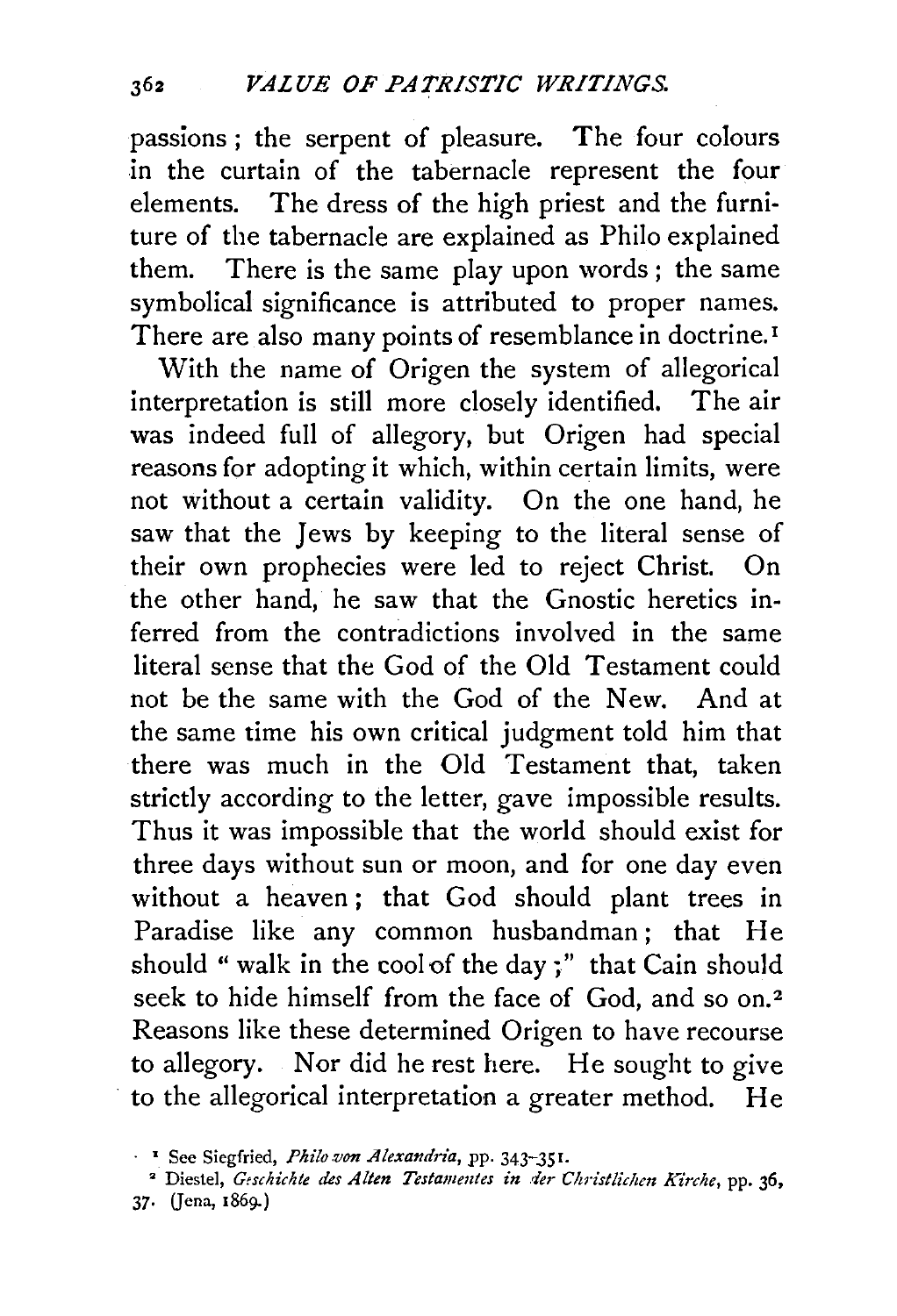passions ; the serpent of pleasure. The four colours in the curtain of the tabernacle represent the four elements. The dress of the high priest and the furniture of the tabernacle are explained as Philo explained them. There is the same play upon words ; the same symbolical significance is attributed to proper names. There are also many points of resemblance in doctrine.<sup>1</sup>

With the name of Origen the system of allegorical interpretation is still more closely identified. The air was indeed full of allegory, but Origen had special reasons for adopting it which, within certain limits, were not without a certain validity. On the one hand, he saw that the Jews by keeping to the literal sense of their own prophecies were led to reject Christ. On the other hand, he saw that the Gnostic heretics inferred from the contradictions involved in the same literal sense that the God of the Old Testament could not be the same with the God of the New. And at the same time his own critical judgment told him that there was much in the Old Testament that, taken strictly according to the letter, gave impossible results. Thus it was impossible that the world should exist for three days without sun or moon, and for one day even without a heaven ; that God should plant trees in Paradise like any common husbandman ; that He should " walk in the cool of the day;" that Cain should seek to hide himself from the face of God, and so on.<sup>2</sup> Reasons like these determined Origen to have recourse to allegory. Nor did he rest here. He sought to give to the allegorical interpretation a greater method. He

<sup>2</sup> Diestel, *Geschichte des Alten Testamentes in der Christlichen Kirche*, pp. 36, 37· Gena, 1869-)

<sup>·</sup> <sup>1</sup>See Siegfried, *Philo.von Alexandria,* pp. 343-351.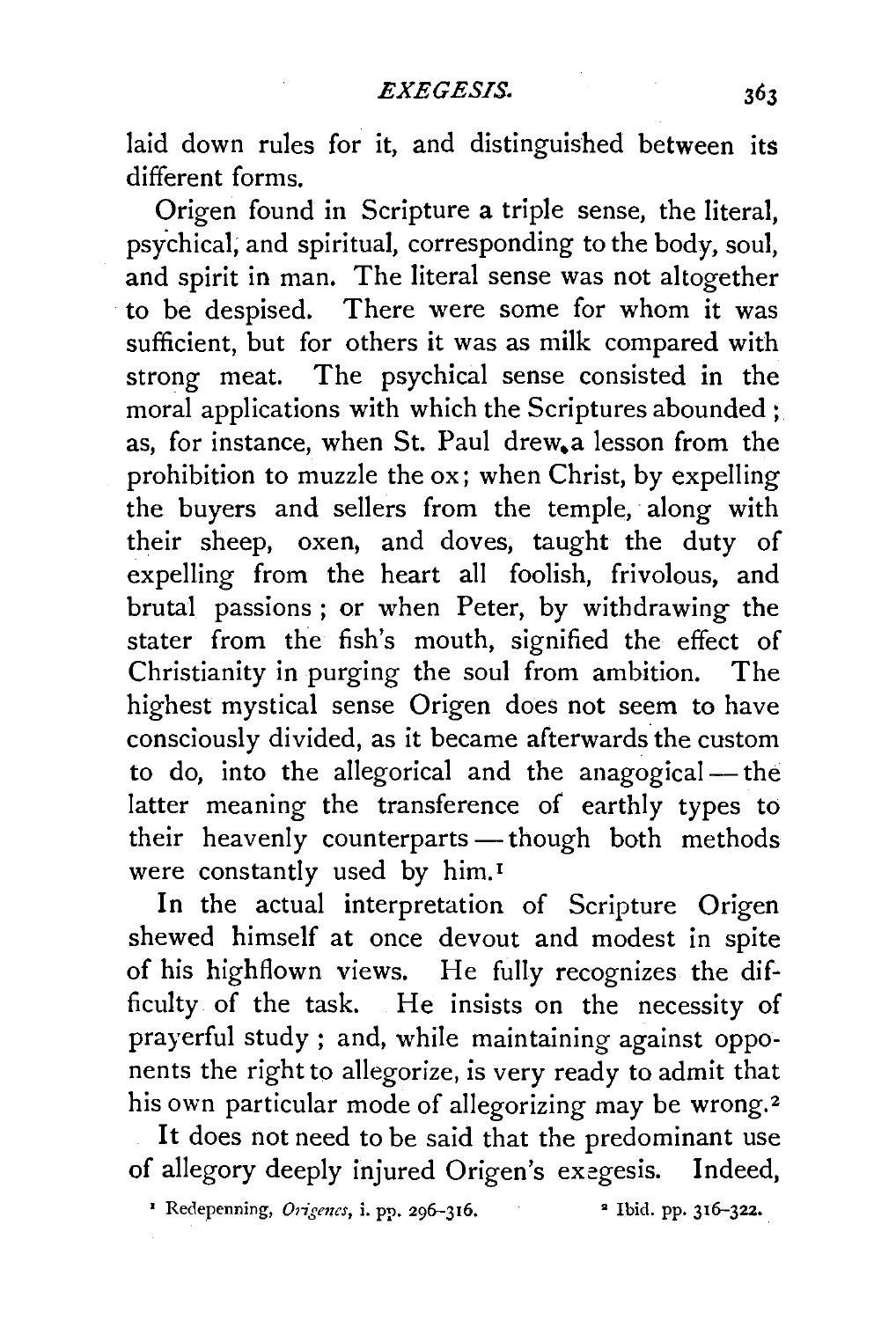laid down rules for it, and distinguished between its different forms.

Origen found in Scripture a triple sense, the literal, psychical; and spiritual, corresponding to the body, soul, and spirit in man. The literal sense was not altogether to be despised. There were some for whom it was sufficient, but for others it was as milk compared with strong meat. The psychical sense consisted in the moral applications with which the Scriptures abounded; as, for instance, when St. Paul drew.a lesson from the prohibition to muzzle the ox; when Christ, by expelling the buyers and sellers from the temple, along with their sheep, oxen, and doves, taught the duty of expelling from the heart all foolish, frivolous, and brutal passions ; or when Peter, by withdrawing the stater from the fish's mouth, signified the effect of Christianity in purging the soul from ambition. The highest mystical sense Origen does not seem to have consciously divided, as it became afterwards the custom to do, into the allegorical and the anagogical- the latter meaning the transference of earthly types to their heavenly counterparts - though both methods were constantly used by him. <sup>1</sup>

In the actual interpretation of Scripture Origen shewed himself at once devout and modest in spite of his highflown views. He fully recognizes the difficulty of the task. He insists on the necessity of prayerful study ; and, while maintaining against opponents the right to allegorize, is very ready to admit that his own particular mode of allegorizing may be wrong.<sup>2</sup>

It does not need to be said that the predominant use of allegory deeply injured Origen's exegesis. Indeed,

<sup>2</sup> Redepenning, *Origenes*, i. pp. 296-316. • <sup>2</sup> Ibid. pp. 316-322.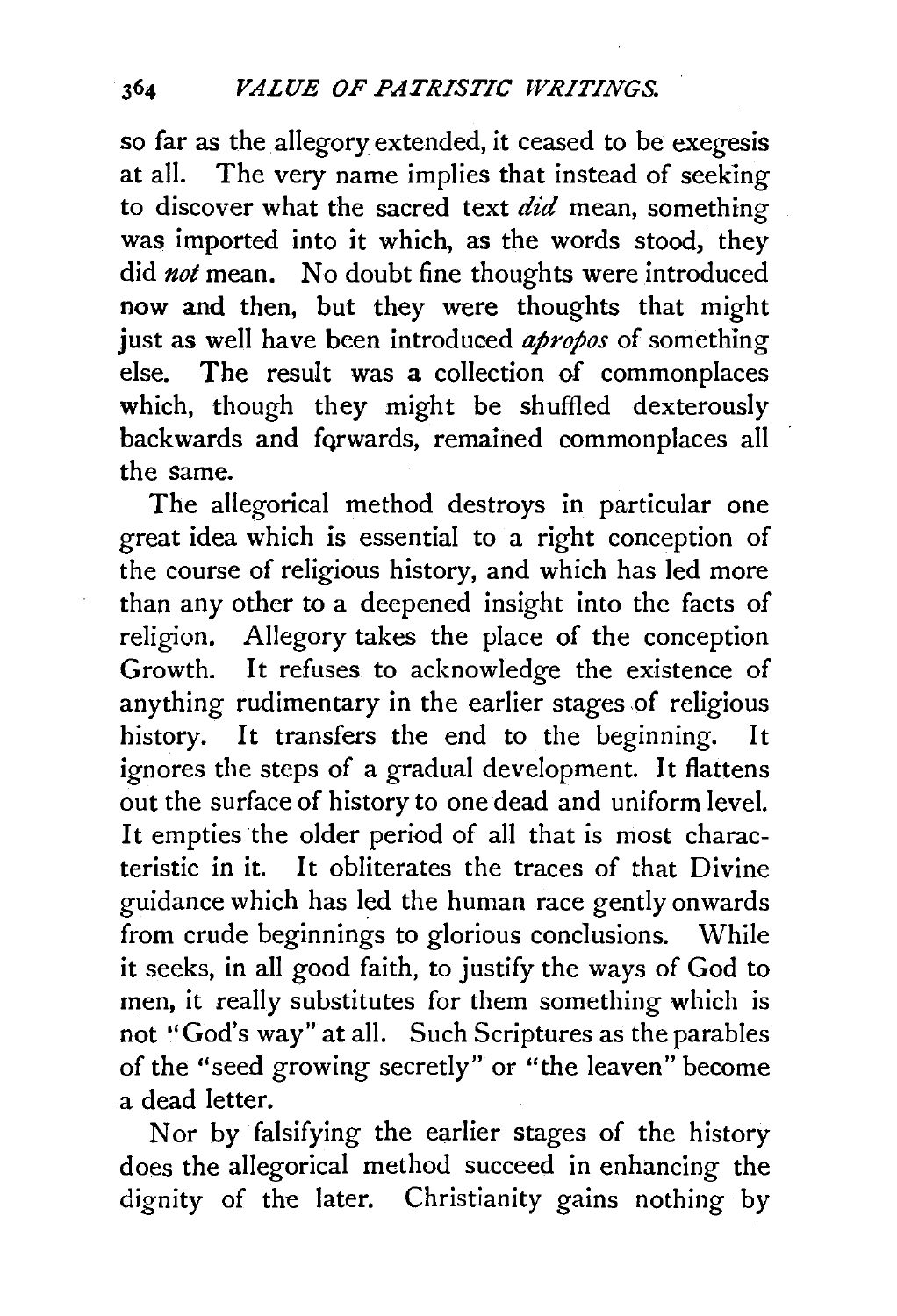so far as the allegory extended, it ceased to be exegesis at all. The very name implies that instead of seeking to discover what the sacred text did mean, something was imported into it which, as the words stood, they did *not* mean. No doubt fine thoughts were introduced now and then, but they were thoughts that might just as well have been introduced *apropos* of something else. The result was a collection of commonplaces which, though they might be shuffled dexterously backwards and fqrwards, remained commonplaces all the same.

The allegorical method destroys in particular one great idea which is essential to a right conception of the course of religious history, and which has led more than any other to a deepened insight into the facts of religion. Allegory takes the place of the conception Growth. It refuses to acknowledge the existence of anything rudimentary in the earlier stages of religious history. It transfers the end to the beginning. It ignores the steps of a gradual development. It flattens out the surface of history to one dead and uniform level. It empties the older period of all that is most charac**teristic in it. It obliterates the traces of that Divine**  guidance which has led the human race gently onwards from crude beginnings to glorious conclusions. While it seeks, in all good faith, to justify the ways of God to men, it really substitutes for them something which is not "God's way" at all. Such Scriptures as the parables of the "seed growing secretly" or "the leaven" become a dead letter.

Nor by falsifying the earlier stages of the history does the allegorical method succeed in enhancing the dignity of the later. Christianity gains nothing by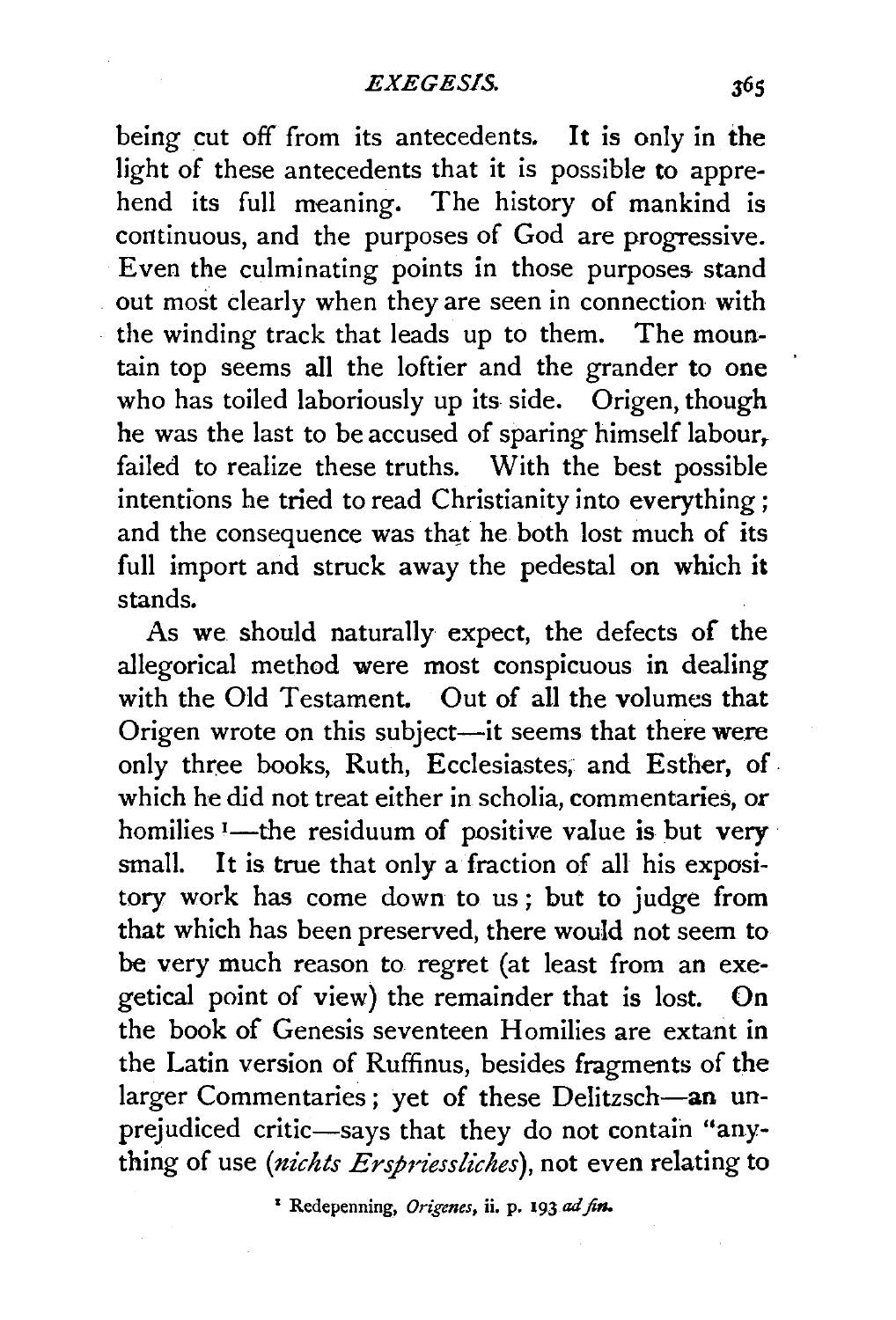being cut off from its antecedents. It is only in the light of these antecedents that it is possible to apprehend its full meaning. The history of mankind is continuous, and the purposes of God are progressive. Even the culminating points in those purposes stand out most clearly when they are seen in connection with the winding track that leads up to them. The mountain top seems all the loftier and the grander to one who has toiled laboriously up its side. Origen, though he was the last to be accused of sparing himself labour, failed to realize these truths. With the best possible intentions he tried to read Christianity into everything; and the consequence was that he both lost much of its full import and struck away the pedestal on which it stands.

As we. should naturally expect, the defects of the allegorical method were most conspicuous in dealing with the Old Testament. Out of all the volumes that Origen wrote on this subject-it seems that there were only three books, Ruth, Ecclesiastes; and Esther, of. which he did not treat either in scholia, commentaries, or homilies <sup>1</sup>-the residuum of positive value is but very small. It is true that only a fraction of all his expository work has come down to us ; but to judge from that which has been preserved, there would not seem to be very much reason to regret (at least from an exegetical point of view) the remainder that is lost. On the book of Genesis seventeen Homilies are extant in the Latin version of Ruffinus, besides fragments of the larger Commentaries; yet of these Delitzsch-an unprejudiced critic-says that they do not contain "anything of use (nichts Erspriessliches), not even relating to

1 Redepenning, *Origenes,* ii. p. 193 ad *fin.*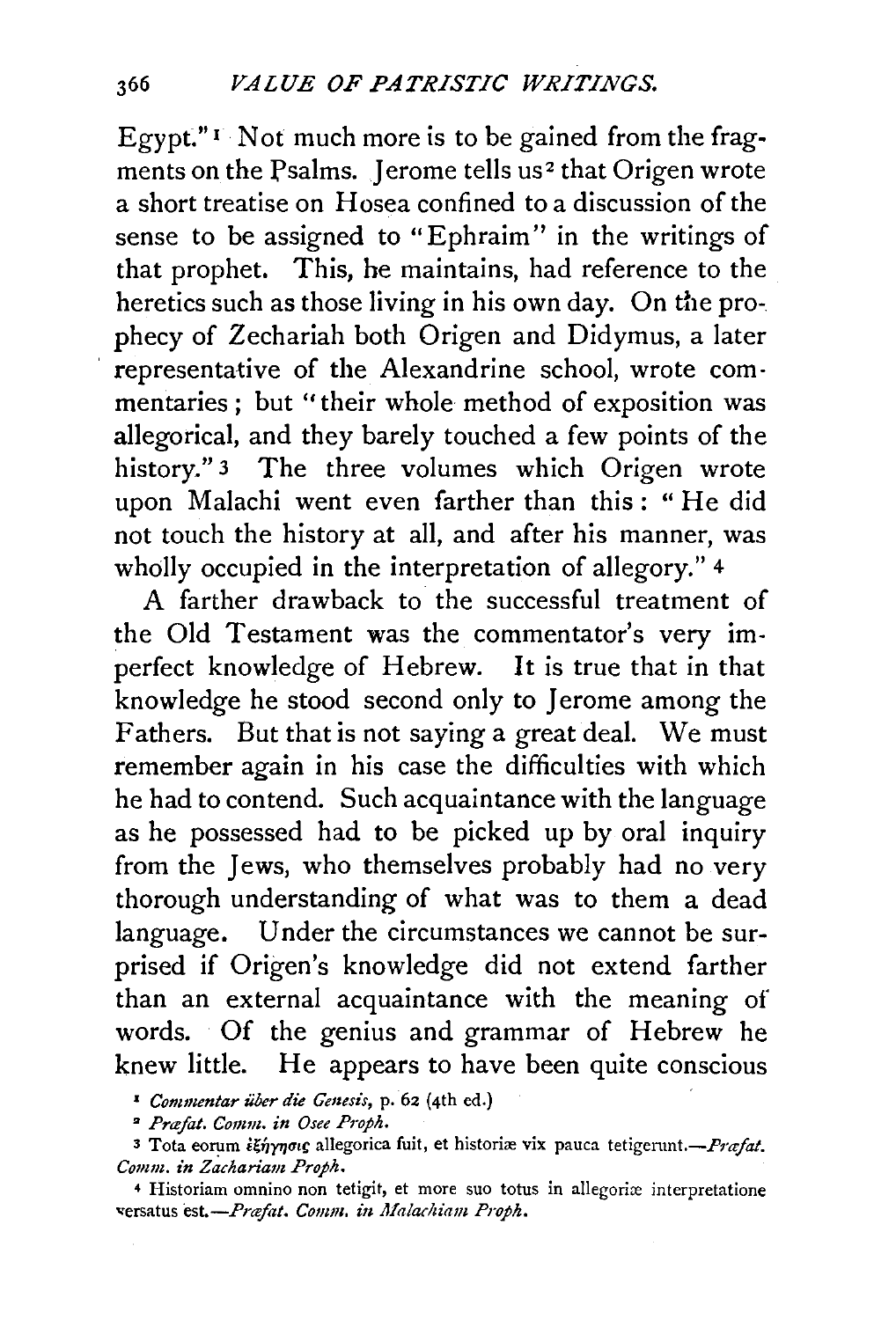Egypt." $\Gamma$  Not much more is to be gained from the fragments on the Psalms. Jerome tells us<sup>2</sup> that Origen wrote a short treatise on Hosea confined to a discussion of the sense to be assigned to "Ephraim" in the writings of that prophet. This, he maintains, had reference to the heretics such as those living in his own day. On the prophecy of Zechariah both Origen and Didymus, a later representative of the Alexandrine school, wrote commentaries ; but "their whole method of exposition was allegorical, and they barely touched a few points of the history." 3 The three volumes which Origen wrote upon Malachi went even farther than this: "He did not touch the history at all, and after his manner, was wholly occupied in the interpretation of allegory." <sup>4</sup>

A farther drawback to the successful treatment of the Old Testament was the commentator's very imperfect knowledge of Hebrew. It is true that in that knowledge he stood second only to Jerome among the Fathers. But that is not saying a great deal. We must remember again in his case the difficulties with which he had to contend. Such acquaintance with the language as he possessed had to be picked up by oral inquiry from the Jews, who themselves probably had no very thorough understanding of what was to them a dead language. Under the circumstances we cannot be surprised if Origen's knowledge did not extend farther than an external acquaintance with the meaning of words. Of the genius and grammar of Hebrew he knew little. He appears to have been quite conscious

<sup>1</sup> Commentar über die Genesis, p. 62 (4th ed.)

<sup>2</sup> Præfat. Comm. in Osee Proph.

3 Tota eorum išnynous allegorica fuit, et historiæ vix pauca tetigerunt.- Prafat. *Comm. in Zachariam Proph.* 

4 Historiam omnino non tetigit, et more suo totus in allegoriæ interpretatione versatus est.-Præfat. Comm. in Malachiam Proph.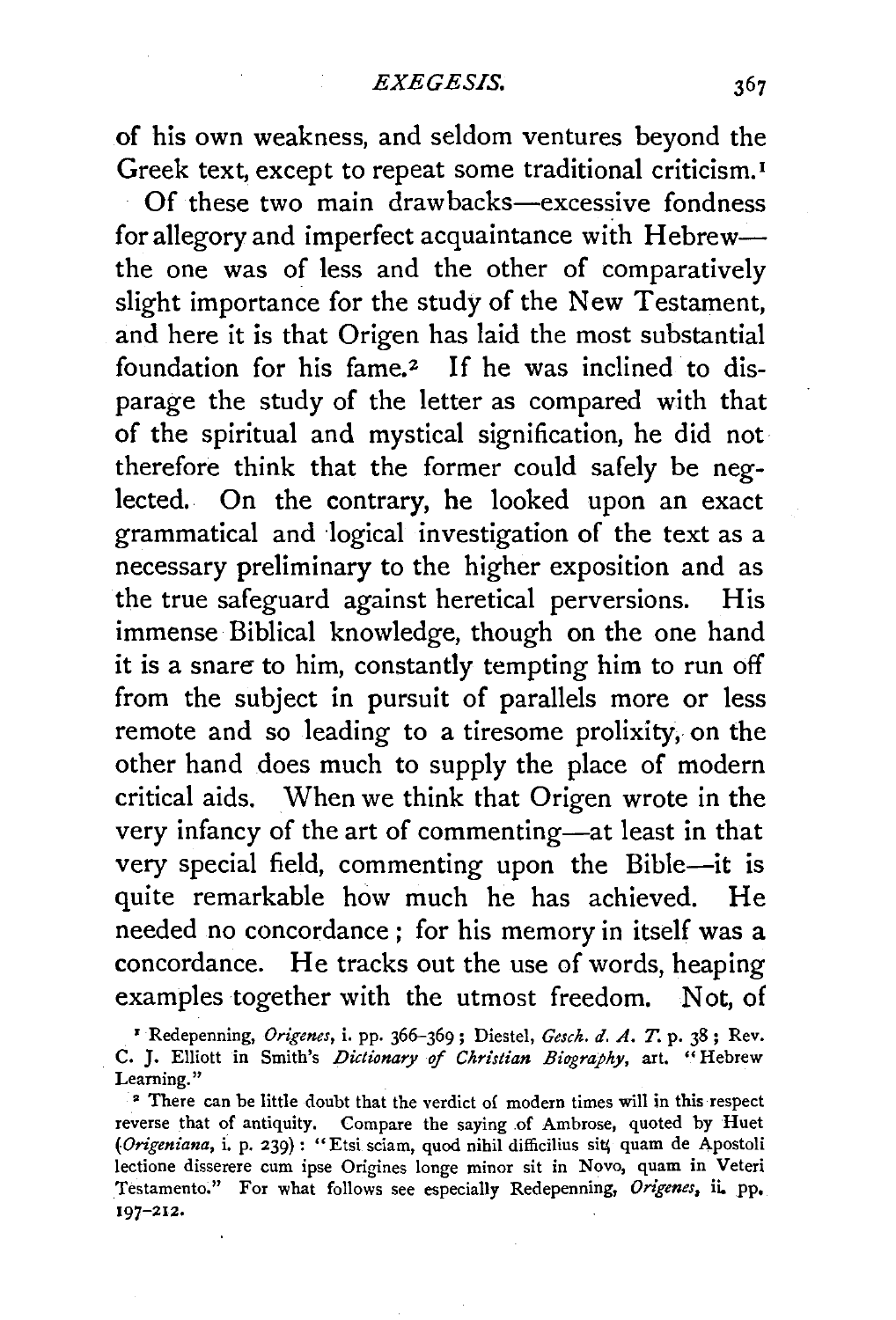of his own weakness, and seldom ventures beyond the Greek text, except to repeat some traditional criticism. <sup>1</sup> Of these two main drawbacks-excessive fondness for allegory and imperfect acquaintance with Hebrewthe one was of less and the other of comparatively slight importance for the study of the New Testament, and here it is that Origen has laid the most substantial foundation for his fame.<sup>2</sup> If he was inclined to disparage the study of the letter as compared with that of the spiritual and mystical signification, he did not therefore think that the former could safely be neglected. On the contrary, he looked upon an exact grammatical and logical investigation of the text as a necessary preliminary to the higher exposition and as the true safeguard against heretical perversions. His immense Biblical knowledge, though on the one hand it is a snare to him, constantly tempting him to run off from the subject in pursuit of parallels more or less remote and so leading to a tiresome prolixity, on the other hand does much to supply the place of modern critical aids. When we think that Origen wrote in the very infancy of the art of commenting-at least in that very special field, commenting upon the Bible-it is quite remarkable how much he has achieved. He needed no concordance ; for his memory in itself was a concordance. He tracks out the use of words, heaping examples together with the utmost freedom. Not, of

<sup>1</sup>Redepenning, *Origenes,* i. pp. 366-369; Diestel, *Gesck. d. A.* T. p. 38; Rev. C. J. Elliott in Smith's *Dictionary* of *Ckristian Biugrapky,* art. "Hebrew Learning."

• There can be little doubt that the verdict o{ modern times will in this respect reverse that of antiquity. Compare the saying of Ambrose, quoted by Huet (Origeniana, i. p. 239) : "Etsi sciam, quod nihil difficilius sit; quam de Apostoli lectione disserere cum ipse Origines longe minor sit in Novo, quam in Veteri Testamento." For what follows see especially Redepenning, *Origenes,* ii. pp, 197-212.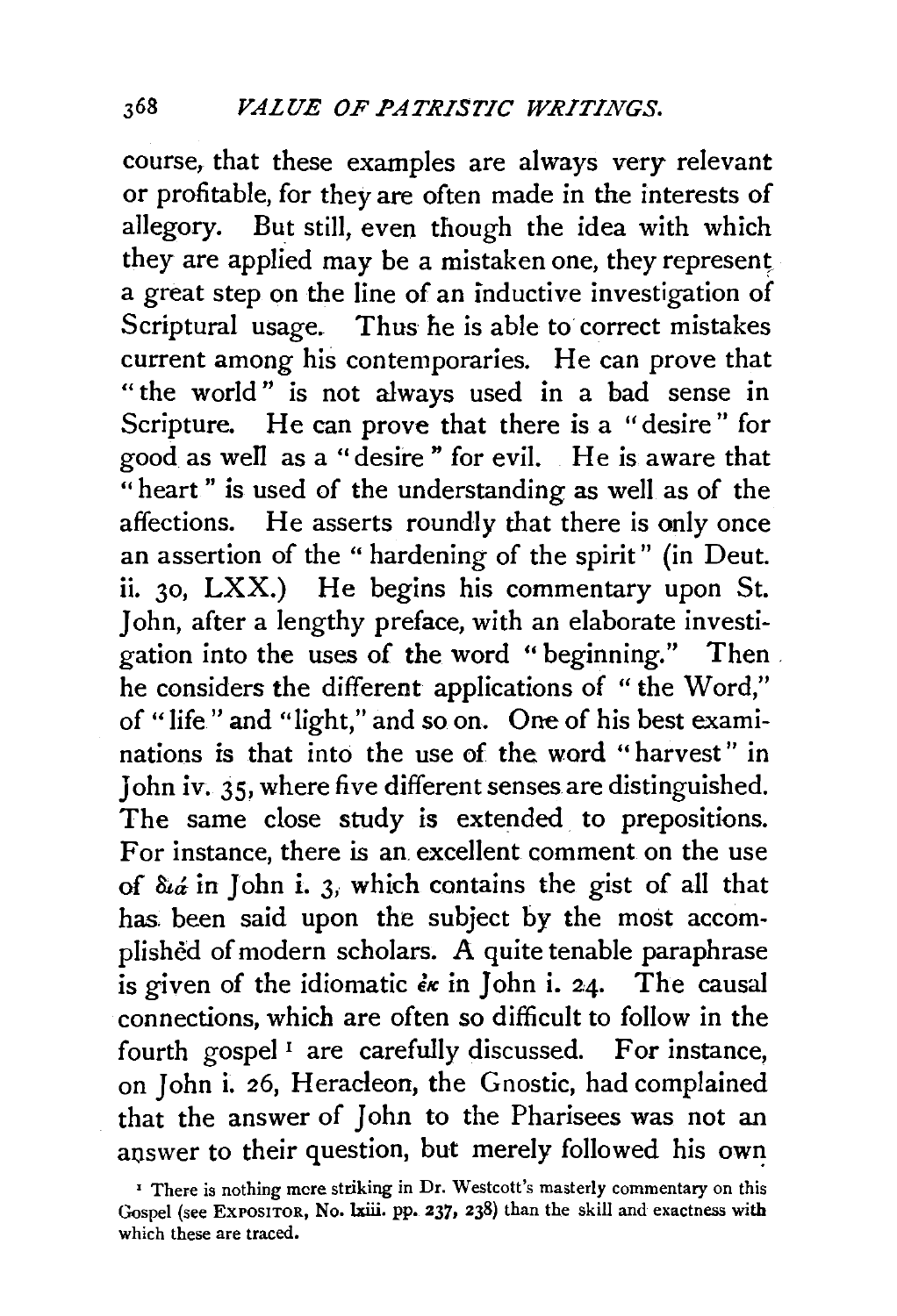course, that these examples are always very relevant or profitable, for they are often made in the interests of allegory. But still, even though the idea with which they are applied may be a mistaken one, they represent a great step on the line of an inductive investigation of Scriptural usage. Thus he is able to correct mistakes current among his contemporaries. He can prove that "the world" is not always used in a bad sense in Scripture. He can prove that there is a "desire" for good as well as a "desire" for evil. He is aware that "heart" is used of the understanding as well as of the affections. He asserts roundly that there is only once an assertion of the " hardening of the spirit" (in Deut. ii. 30, LXX.) He begins his commentary upon St. John, after a lengthy preface, with an elaborate investigation into the uses of the word "beginning." Then . he considers the different applications of " the Word," of "life" and "light," and so on. One of his best examinations is that into the use of the word " harvest" in John iv. 35, where five different senses are distinguished. The same close study is extended to prepositions. For instance, there is an. excellent comment on the use of  $\delta u_d$  in John i. 3, which contains the gist of all that has. been said upon the subject by the most accomplished of modern scholars. A quite tenable paraphrase is given of the idiomatic  $\epsilon_{\kappa}$  in John i. 24. The causal connections, which are often so difficult to follow in the fourth gospel<sup>1</sup> are carefully discussed. For instance, on John i. 26, Heracleon, the Gnostic, had complained that the answer of John to the Pharisees was not an answer to their question, but merely followed his own

<sup>&</sup>lt;sup>1</sup> There is nothing mere striking in Dr. Westcott's masterly commentary on this Gospel (see EXPOSITOR, No. lxiii. pp. 237, 238) than the skill and exactness with which these are traced.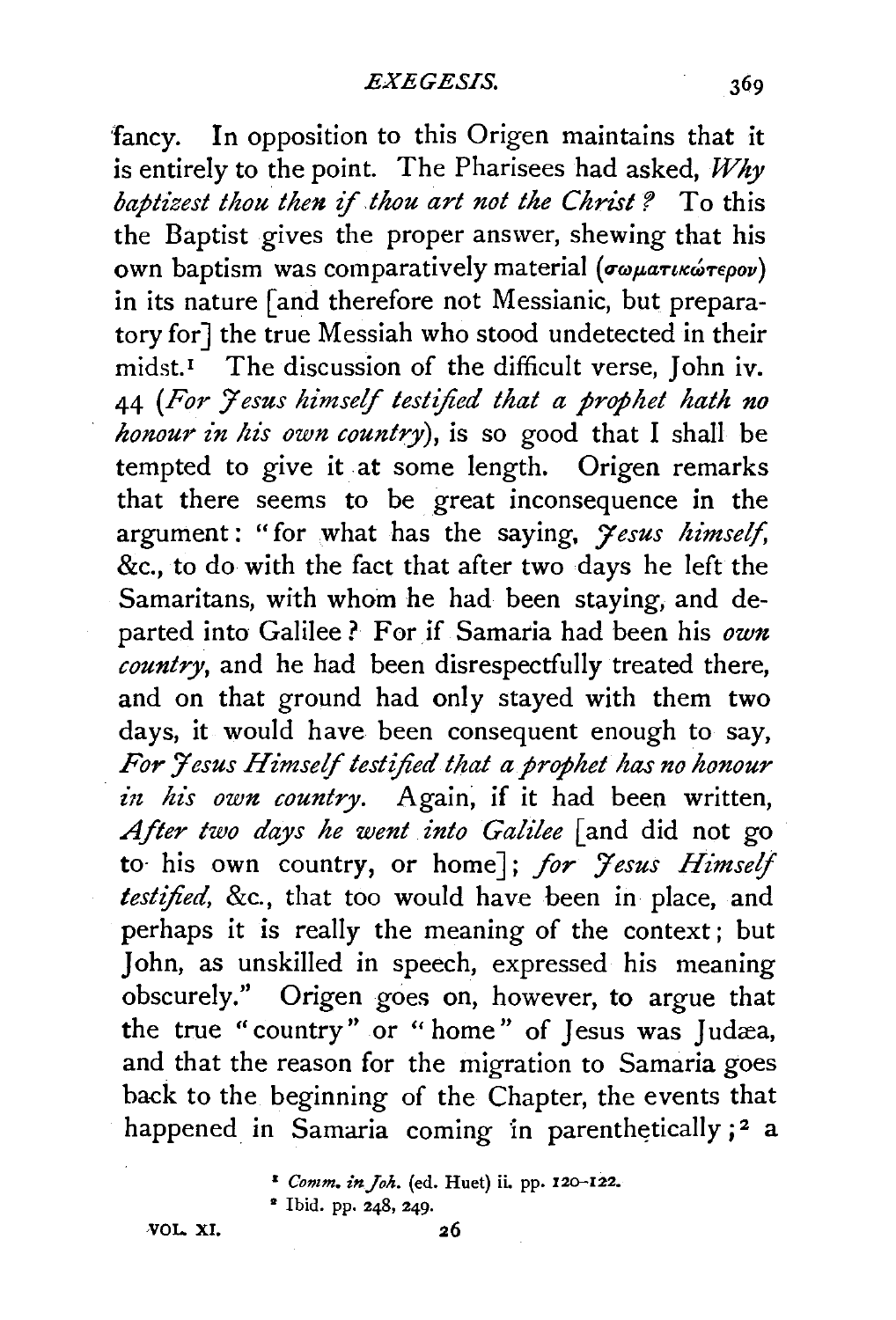fancy. In opposition to this Origen maintains that it is entirely to the point. The Pharisees had asked, *Why baptizest thou then if thou art not the Christ* ? To this the Baptist gives the proper answer, shewing that his own baptism was comparatively material (σωματικώτερον) in its nature [and therefore not Messianic, but preparatory for] the true Messiah who stood undetected in their  $mid.1$ <sup>The discussion of the difficult verse, John iv.</sup> 44 *(For 7 esus himself testified that a prophet hath no honour in his own country*), is so good that I shall be tempted to give it at some length. Origen remarks that there seems to be great inconsequence in the argument : "for what has the saying, *7 esus himself,*  &c., to do with the fact that after two days he left the Samaritans, with whom he had been staying, and departed into Galilee ? For if Samaria had been his own *country,* and he had been disrespectfully treated there, and on that ground had only stayed with them two days, it would have been consequent enough to say, *For /esus Himself testified that a prophet has no honour in his own country*. Again, if it had been written, *After two days he went into Galilee* [and did not go to· his own country, or home]; *for 7esus Himself testified,* &c., that too would have been in place, and perhaps it is really the meaning of the context; but John, as unskilled in speech, expressed his meaning obscurely." Origen goes on, however, to argue that the true "country" or " home" of Jesus was Judæa, and that the reason for the migration to Samaria goes back to the beginning of the Chapter, the events that happened in Samaria coming in parenthetically  $;^2$  a

• Ibid. pp. 248, 249·

VOL. XI.

369

<sup>&</sup>lt;sup>2</sup> Comm. in Joh. (ed. Huet) ii. pp. 120-122.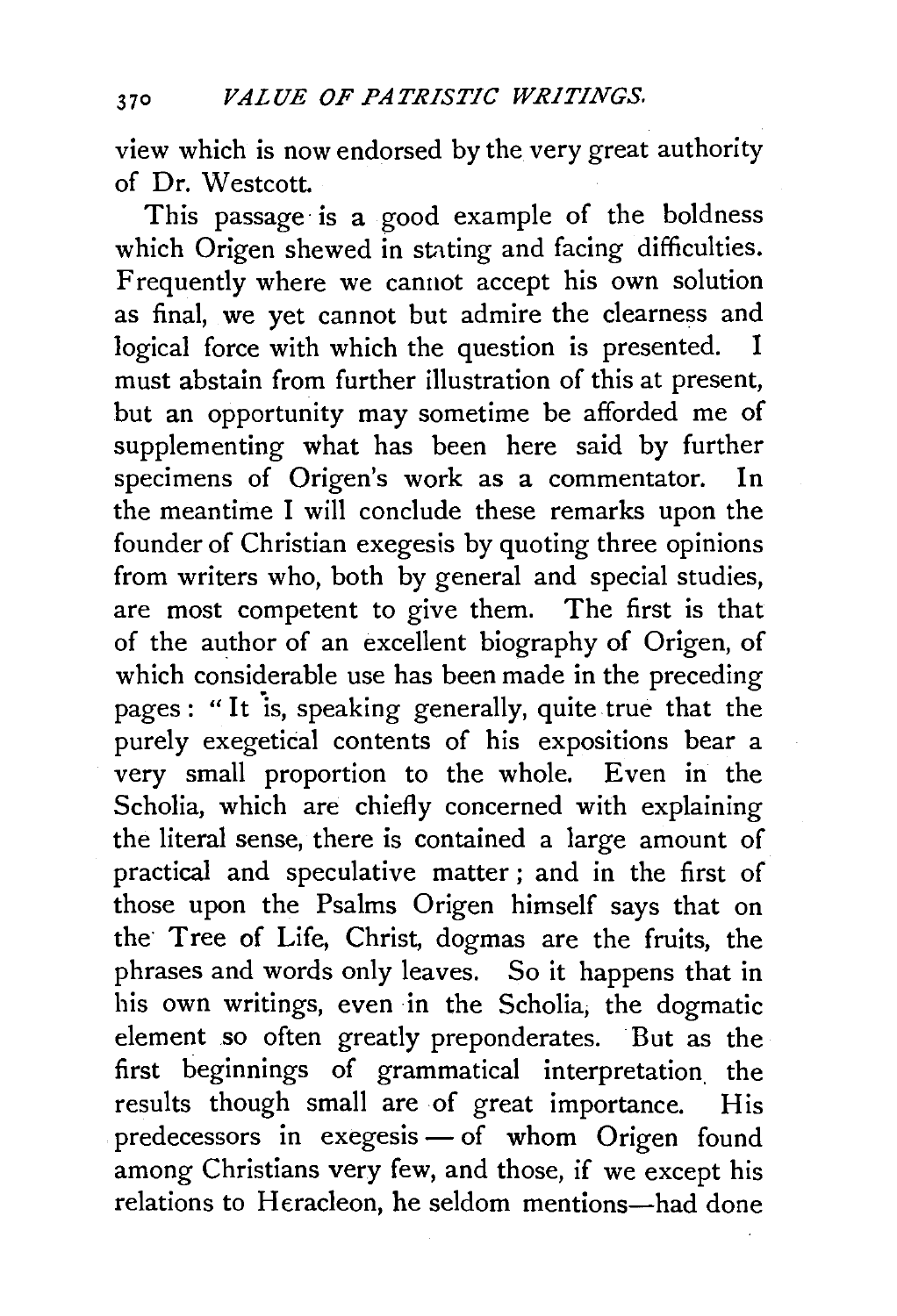view which is now endorsed by the very great authority of Dr. Westcott.

This passage is a good example of the boldness which Origen shewed in stating and facing difficulties. Frequently where we cannot accept his own solution as final, we yet cannot but admire the clearness and logical force with which the question is presented. I must abstain from further illustration of this at present, but an opportunity may sometime be afforded me of supplementing what has been here said by further specimens of Origen's work as a commentator. In the meantime I will conclude these remarks upon the founder of Christian exegesis by quoting three opinions from writers who, both by general and special studies, are most competent to give them. The first is that of the author of an excellent biography of Origen, of which considerable use has been made in the preceding pages : "It is, speaking generally, quite true that the purely exegetical contents of his expositions bear a very small proportion to the whole. Even in the Scholia, which are chiefly concerned with explaining the literal sense, there is contained a large amount of practical and speculative matter ; and in the first of those upon the Psalms Origen himself says that on the Tree of Life, Christ, dogmas are the fruits, the phrases and words only leaves. So it happens that in his own writings, even in the Scholia, the dogmatic element so often greatly preponderates. But as the first beginnings of grammatical interpretation. the results though small are of great importance. His  $predecessary in *exegesis* — of *whom* Origen found$ among Christians very few, and those, if we except his relations to Heracleon, he seldom mentions-had done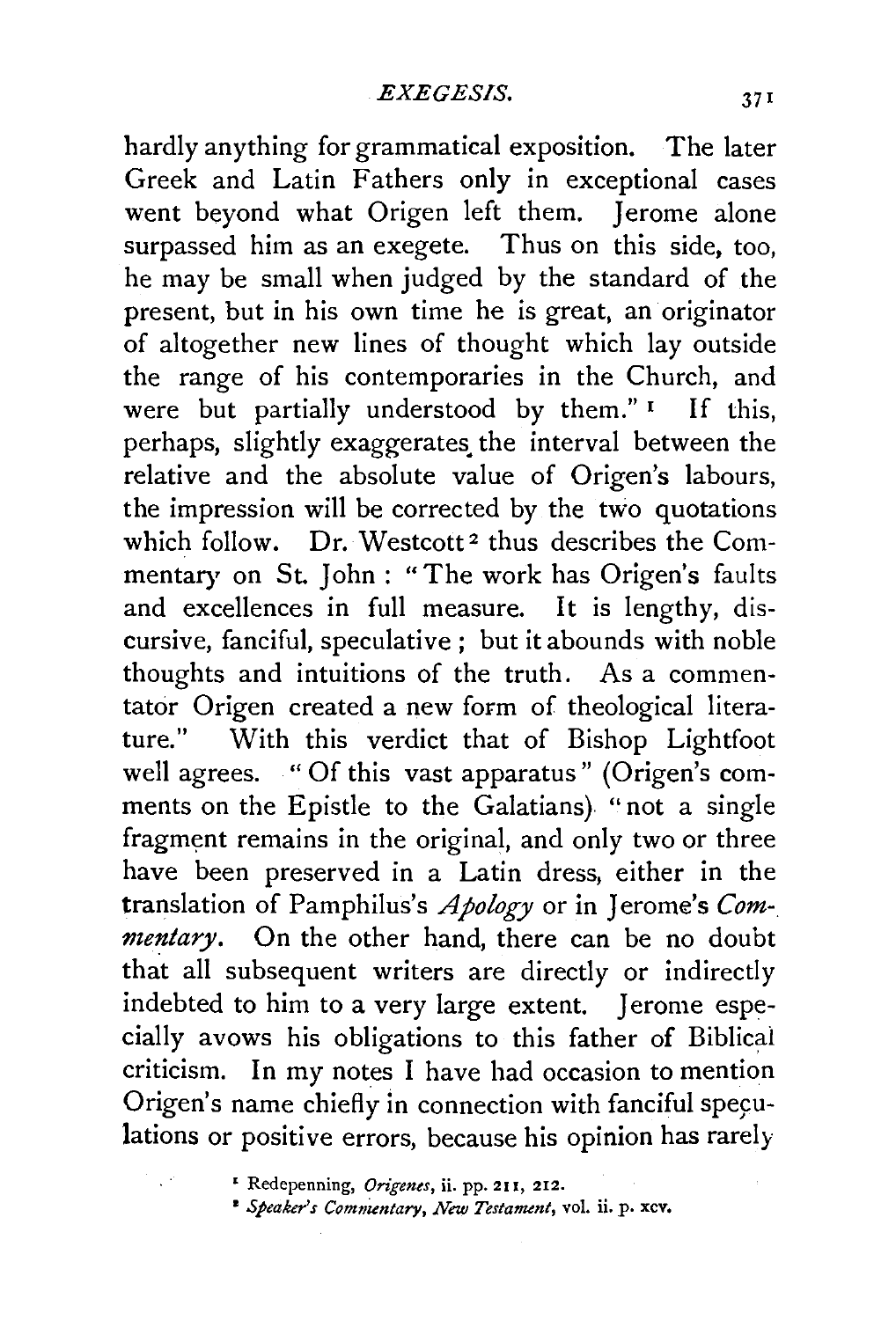hardly anything for grammatical exposition. The later Greek and Latin Fathers only in exceptional cases went beyond what Origen left them. Jerome alone surpassed him as an exegete. Thus on this side, too, he may be small when judged by the standard of the present, but in his own time he is great, an originator of altogether new lines of thought which lay outside the range of his contemporaries in the Church, and were but partially understood by them." If this, perhaps, slightly exaggerates the interval between the relative and the absolute value of Origen's labours, the impression will be corrected by the two quotations which follow. Dr. Westcott<sup>2</sup> thus describes the Commentary on St. John: "The work has Origen's faults and excellences in full measure. It is lengthy, discursive, fanciful, speculative ; but it abounds with noble thoughts and intuitions of the truth. As a commentator Origen created a new form of theological literature." With this verdict that of Bishop Lightfoot well agrees. "Of this vast apparatus" (Origen's comments on the Epistle to the Galatians) "not a single fragment remains in the original, and only two or three have been preserved in a Latin dress, either in the translation of Pamphilus's *Apology* or in Jerome's *Commentary.* On the other hand, there can be no doubt that all subsequent writers are directly or indirectly indebted to him to a very large extent. Jerome especially avows his obligations to this father of Biblical criticism. In my notes I have had occasion to mention Origen's name chiefly in connection with fanciful speculations or positive errors, because his opinion has rarely

• Redepenning, *Origenes,* ii. pp. 211, 212.

• *Speaker's Commentary, New Testament,* vol. ii. p. xcv.